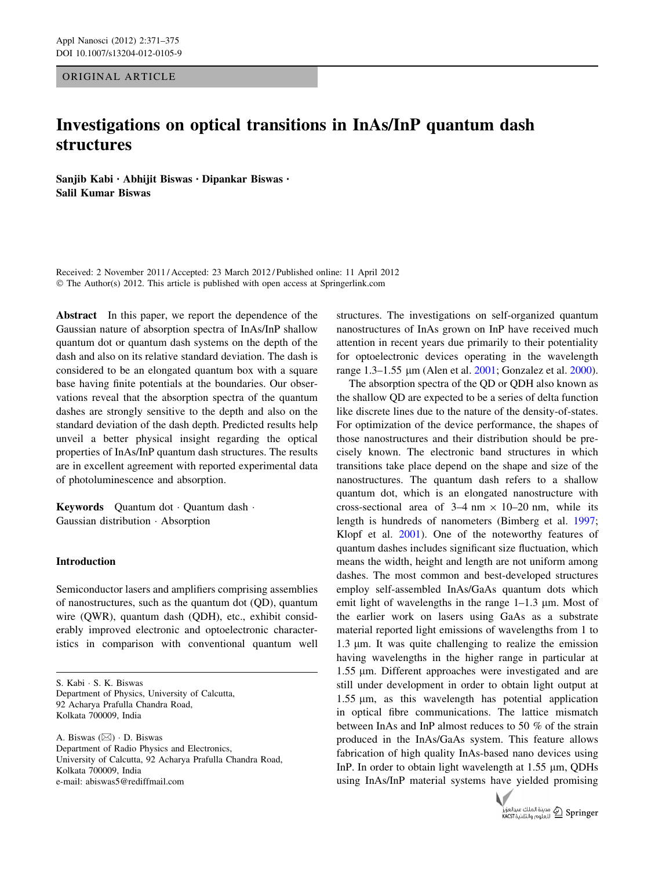ORIGINAL ARTICLE

# Investigations on optical transitions in InAs/InP quantum dash structures

Sanjib Kabi • Abhijit Biswas • Dipankar Biswas • Salil Kumar Biswas

Received: 2 November 2011 / Accepted: 23 March 2012 / Published online: 11 April 2012 © The Author(s) 2012. This article is published with open access at Springerlink.com

Abstract In this paper, we report the dependence of the Gaussian nature of absorption spectra of InAs/InP shallow quantum dot or quantum dash systems on the depth of the dash and also on its relative standard deviation. The dash is considered to be an elongated quantum box with a square base having finite potentials at the boundaries. Our observations reveal that the absorption spectra of the quantum dashes are strongly sensitive to the depth and also on the standard deviation of the dash depth. Predicted results help unveil a better physical insight regarding the optical properties of InAs/InP quantum dash structures. The results are in excellent agreement with reported experimental data of photoluminescence and absorption.

Keywords Quantum dot - Quantum dash - Gaussian distribution - Absorption

## Introduction

Semiconductor lasers and amplifiers comprising assemblies of nanostructures, such as the quantum dot (QD), quantum wire (QWR), quantum dash (QDH), etc., exhibit considerably improved electronic and optoelectronic characteristics in comparison with conventional quantum well

A. Biswas (&) - D. Biswas Department of Radio Physics and Electronics, University of Calcutta, 92 Acharya Prafulla Chandra Road, Kolkata 700009, India e-mail: abiswas5@rediffmail.com

structures. The investigations on self-organized quantum nanostructures of InAs grown on InP have received much attention in recent years due primarily to their potentiality for optoelectronic devices operating in the wavelength range 1.3–1.55 μm (Alen et al. [2001](#page-3-0); Gonzalez et al. [2000](#page-3-0)).

The absorption spectra of the QD or QDH also known as the shallow QD are expected to be a series of delta function like discrete lines due to the nature of the density-of-states. For optimization of the device performance, the shapes of those nanostructures and their distribution should be precisely known. The electronic band structures in which transitions take place depend on the shape and size of the nanostructures. The quantum dash refers to a shallow quantum dot, which is an elongated nanostructure with cross-sectional area of  $3-4$  nm  $\times$  10–20 nm, while its length is hundreds of nanometers (Bimberg et al. [1997](#page-3-0); Klopf et al. [2001\)](#page-3-0). One of the noteworthy features of quantum dashes includes significant size fluctuation, which means the width, height and length are not uniform among dashes. The most common and best-developed structures employ self-assembled InAs/GaAs quantum dots which emit light of wavelengths in the range  $1-1.3 \mu$ m. Most of the earlier work on lasers using GaAs as a substrate material reported light emissions of wavelengths from 1 to  $1.3 \mu$ m. It was quite challenging to realize the emission having wavelengths in the higher range in particular at 1.55 μm. Different approaches were investigated and are still under development in order to obtain light output at  $1.55 \mu m$ , as this wavelength has potential application in optical fibre communications. The lattice mismatch between InAs and InP almost reduces to 50 % of the strain produced in the InAs/GaAs system. This feature allows fabrication of high quality InAs-based nano devices using InP. In order to obtain light wavelength at  $1.55 \mu m$ , QDHs using InAs/InP material systems have yielded promising



S. Kabi - S. K. Biswas Department of Physics, University of Calcutta, 92 Acharya Prafulla Chandra Road, Kolkata 700009, India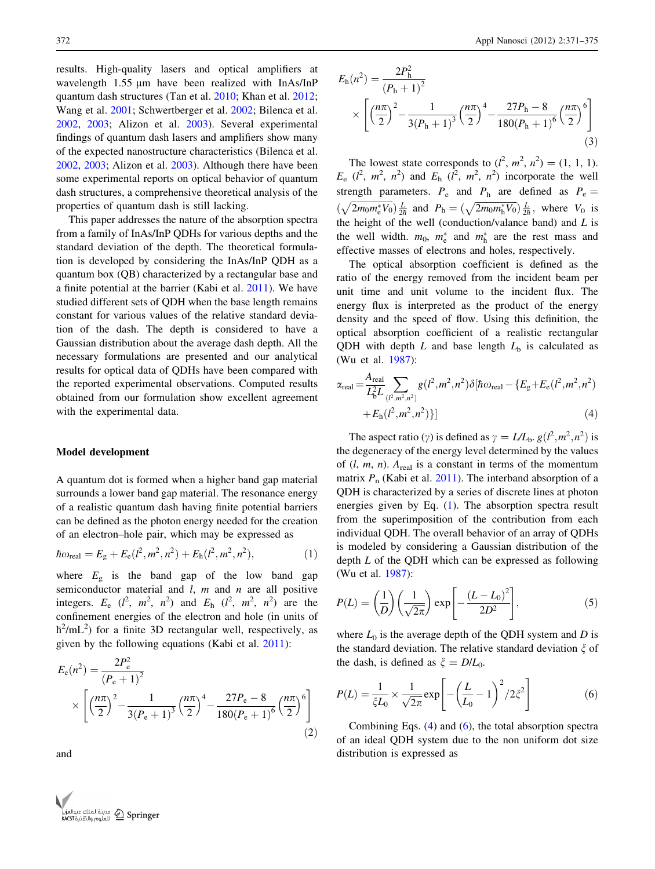results. High-quality lasers and optical amplifiers at wavelength  $1.55 \mu m$  have been realized with InAs/InP quantum dash structures (Tan et al. [2010;](#page-4-0) Khan et al. [2012](#page-3-0); Wang et al. [2001;](#page-4-0) Schwertberger et al. [2002](#page-4-0); Bilenca et al. [2002,](#page-3-0) [2003](#page-3-0); Alizon et al. [2003](#page-3-0)). Several experimental findings of quantum dash lasers and amplifiers show many of the expected nanostructure characteristics (Bilenca et al. [2002,](#page-3-0) [2003](#page-3-0); Alizon et al. [2003\)](#page-3-0). Although there have been some experimental reports on optical behavior of quantum dash structures, a comprehensive theoretical analysis of the properties of quantum dash is still lacking.

This paper addresses the nature of the absorption spectra from a family of InAs/InP QDHs for various depths and the standard deviation of the depth. The theoretical formulation is developed by considering the InAs/InP QDH as a quantum box (QB) characterized by a rectangular base and a finite potential at the barrier (Kabi et al. [2011](#page-3-0)). We have studied different sets of QDH when the base length remains constant for various values of the relative standard deviation of the dash. The depth is considered to have a Gaussian distribution about the average dash depth. All the necessary formulations are presented and our analytical results for optical data of QDHs have been compared with the reported experimental observations. Computed results obtained from our formulation show excellent agreement with the experimental data.

#### Model development

A quantum dot is formed when a higher band gap material surrounds a lower band gap material. The resonance energy of a realistic quantum dash having finite potential barriers can be defined as the photon energy needed for the creation of an electron–hole pair, which may be expressed as

$$
\hbar\omega_{\text{real}} = E_{\text{g}} + E_{\text{e}}(l^2, m^2, n^2) + E_{\text{h}}(l^2, m^2, n^2), \tag{1}
$$

where  $E_{\rm g}$  is the band gap of the low band gap semiconductor material and  $l$ ,  $m$  and  $n$  are all positive integers.  $E_e$  ( $l^2$ ,  $m^2$ ,  $n^2$ ) and  $E_h$  ( $l^2$ ,  $m^2$ ,  $n^2$ ) are the confinement energies of the electron and hole (in units of  $\hbar^2$ /mL<sup>2</sup>) for a finite 3D rectangular well, respectively, as given by the following equations (Kabi et al. [2011](#page-3-0)):

$$
E_{\rm e}(n^2) = \frac{2P_{\rm e}^2}{(P_{\rm e}+1)^2} \times \left[ \left(\frac{n\pi}{2}\right)^2 - \frac{1}{3(P_{\rm e}+1)^3} \left(\frac{n\pi}{2}\right)^4 - \frac{27P_{\rm e}-8}{180(P_{\rm e}+1)^6} \left(\frac{n\pi}{2}\right)^6 \right] \tag{2}
$$

and



$$
E_{\rm h}(n^2) = \frac{2P_{\rm h}^2}{(P_{\rm h}+1)^2} \times \left[ \left(\frac{n\pi}{2}\right)^2 - \frac{1}{3(P_{\rm h}+1)^3} \left(\frac{n\pi}{2}\right)^4 - \frac{27P_{\rm h} - 8}{180(P_{\rm h}+1)^6} \left(\frac{n\pi}{2}\right)^6 \right] \tag{3}
$$

The lowest state corresponds to  $(l^2, m^2, n^2) = (1, 1, 1)$ .  $E_e$  ( $l^2$ ,  $m^2$ ,  $n^2$ ) and  $E_h$  ( $l^2$ ,  $m^2$ ,  $n^2$ ) incorporate the well strength parameters.  $P_e$  and  $P_h$  are defined as  $P_e$  =  $(\sqrt{2m_0m_e^*V_0})\frac{L}{2\hbar}$  and  $P_h = (\sqrt{2m_0m_h^*V_0})\frac{L}{2\hbar}$ , where  $V_0$  is the height of the well (conduction/valance band) and  $L$  is the well width.  $m_0$ ,  $m_e^*$  and  $m_h^*$  are the rest mass and effective masses of electrons and holes, respectively.

The optical absorption coefficient is defined as the ratio of the energy removed from the incident beam per unit time and unit volume to the incident flux. The energy flux is interpreted as the product of the energy density and the speed of flow. Using this definition, the optical absorption coefficient of a realistic rectangular QDH with depth  $L$  and base length  $L<sub>b</sub>$  is calculated as (Wu et al. [1987](#page-4-0)):

$$
\alpha_{\text{real}} = \frac{A_{\text{real}}}{L_b^2 L} \sum_{(P,m^2,n^2)} g(l^2, m^2, n^2) \delta[\hbar \omega_{\text{real}} - \{E_g + E_e(l^2, m^2, n^2) + E_h(l^2, m^2, n^2)\}] \tag{4}
$$

The aspect ratio ( $\gamma$ ) is defined as  $\gamma = LL_{\rm b}$ .  $g(l^2, m^2, n^2)$  is the degeneracy of the energy level determined by the values of  $(l, m, n)$ . A<sub>real</sub> is a constant in terms of the momentum matrix  $P_n$  (Kabi et al. [2011](#page-3-0)). The interband absorption of a QDH is characterized by a series of discrete lines at photon energies given by Eq. (1). The absorption spectra result from the superimposition of the contribution from each individual QDH. The overall behavior of an array of QDHs is modeled by considering a Gaussian distribution of the depth  $L$  of the QDH which can be expressed as following (Wu et al. [1987\)](#page-4-0):

$$
P(L) = \left(\frac{1}{D}\right)\left(\frac{1}{\sqrt{2\pi}}\right)\exp\left[-\frac{(L-L_0)^2}{2D^2}\right],\tag{5}
$$

where  $L_0$  is the average depth of the QDH system and D is the standard deviation. The relative standard deviation  $\zeta$  of the dash, is defined as  $\xi = D/L_0$ .

$$
P(L) = \frac{1}{\xi L_0} \times \frac{1}{\sqrt{2\pi}} \exp\left[ -\left(\frac{L}{L_0} - 1\right)^2 / 2\xi^2 \right]
$$
(6)

Combining Eqs.  $(4)$  and  $(6)$ , the total absorption spectra of an ideal QDH system due to the non uniform dot size distribution is expressed as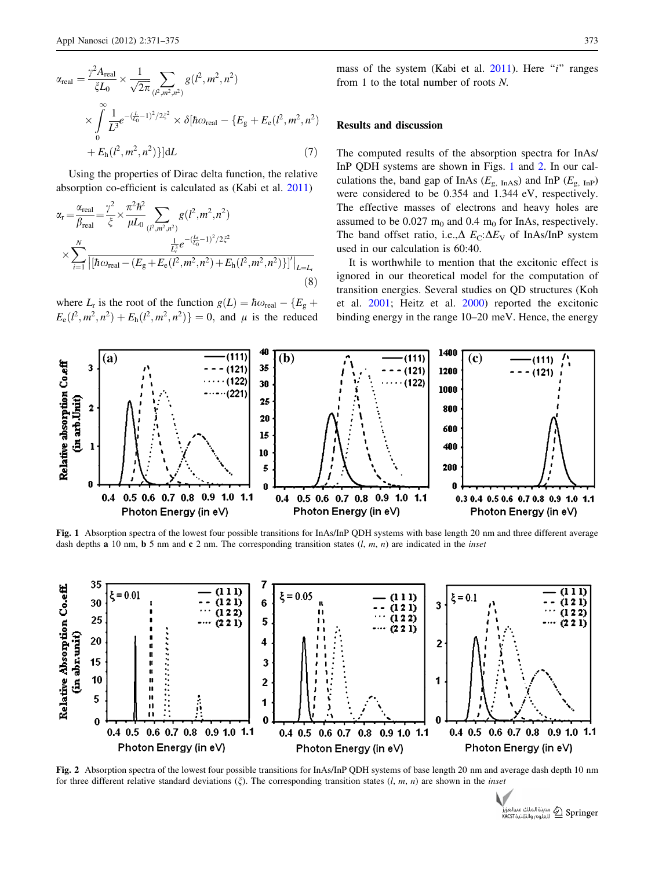<span id="page-2-0"></span>
$$
\alpha_{\text{real}} = \frac{\gamma^2 A_{\text{real}}}{\zeta L_0} \times \frac{1}{\sqrt{2\pi}} \sum_{(l^2, m^2, n^2)} g(l^2, m^2, n^2)
$$
  
 
$$
\times \int_{0}^{\infty} \frac{1}{L^3} e^{-(\frac{L}{L_0} - 1)^2 / 2\zeta^2} \times \delta[\hbar \omega_{\text{real}} - \{E_g + E_e(l^2, m^2, n^2) + E_h(l^2, m^2, n^2)\}] dL \tag{7}
$$

Using the properties of Dirac delta function, the relative absorption co-efficient is calculated as (Kabi et al. [2011\)](#page-3-0)

$$
\alpha_{\rm r} = \frac{\alpha_{\rm real}}{\beta_{\rm real}} = \frac{\gamma^2}{\xi} \times \frac{\pi^2 \hbar^2}{\mu L_0} \sum_{(P,m^2,n^2)} g(l^2, m^2, n^2)
$$
  
 
$$
\times \sum_{i=1}^N \frac{\frac{1}{L_i^2} e^{-(\frac{l_i}{L_0} - 1)^2 / 2\xi^2}}{\left[ [\hbar \omega_{\rm real} - (E_g + E_e(l^2, m^2, n^2) + E_h(l^2, m^2, n^2)) \right]' \Big|_{L=L_{\rm r}}}
$$
(8)

where  $L_r$  is the root of the function  $g(L) = \hbar \omega_{\text{real}} - \{E_g +$  $E_e(l^2, m^2, n^2) + E_h(l^2, m^2, n^2) = 0$ , and  $\mu$  is the reduced mass of the system (Kabi et al.  $2011$ ). Here "*i*" ranges from 1 to the total number of roots N.

## Results and discussion

The computed results of the absorption spectra for InAs/ InP QDH systems are shown in Figs. 1 and 2. In our calculations the, band gap of InAs ( $E_{\rm g, InAS}$ ) and InP ( $E_{\rm g, InP}$ ) were considered to be 0.354 and 1.344 eV, respectively. The effective masses of electrons and heavy holes are assumed to be  $0.027 \text{ m}_0$  and  $0.4 \text{ m}_0$  for InAs, respectively. The band offset ratio, i.e., $\Delta E$ <sub>C</sub>: $\Delta E$ <sub>V</sub> of InAs/InP system used in our calculation is 60:40.

It is worthwhile to mention that the excitonic effect is ignored in our theoretical model for the computation of transition energies. Several studies on QD structures (Koh et al. [2001](#page-3-0); Heitz et al. [2000\)](#page-3-0) reported the excitonic binding energy in the range 10–20 meV. Hence, the energy



Fig. 1 Absorption spectra of the lowest four possible transitions for InAs/InP ODH systems with base length 20 nm and three different average dash depths **a** 10 nm, **b** 5 nm and **c** 2 nm. The corresponding transition states  $(l, m, n)$  are indicated in the *inset* 



Fig. 2 Absorption spectra of the lowest four possible transitions for InAs/InP QDH systems of base length 20 nm and average dash depth 10 nm for three different relative standard deviations ( $\xi$ ). The corresponding transition states (l, m, n) are shown in the *inset* 

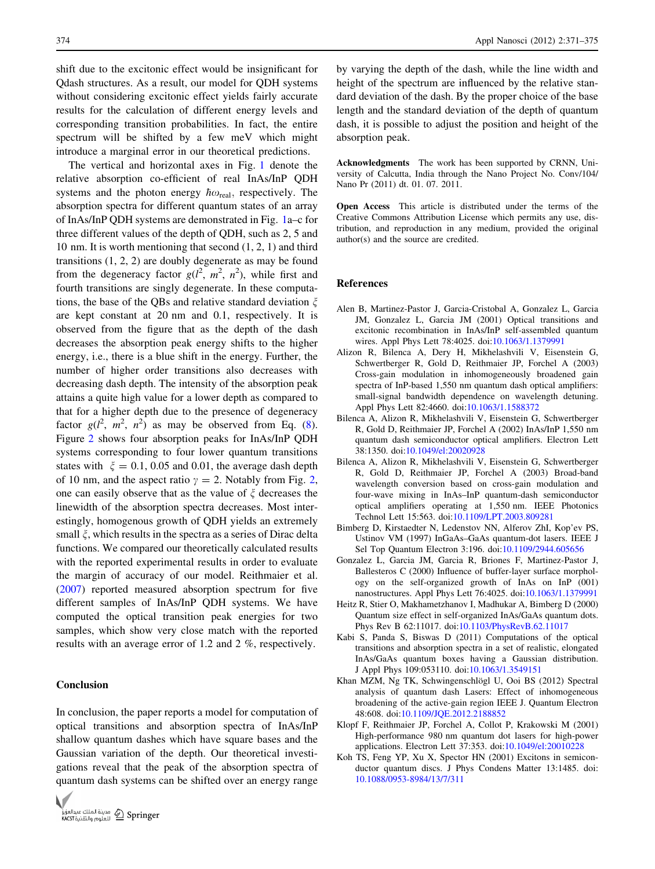<span id="page-3-0"></span>shift due to the excitonic effect would be insignificant for Qdash structures. As a result, our model for QDH systems without considering excitonic effect yields fairly accurate results for the calculation of different energy levels and corresponding transition probabilities. In fact, the entire spectrum will be shifted by a few meV which might introduce a marginal error in our theoretical predictions.

The vertical and horizontal axes in Fig. [1](#page-2-0) denote the relative absorption co-efficient of real InAs/InP QDH systems and the photon energy  $\hbar \omega_{\text{real}}$ , respectively. The absorption spectra for different quantum states of an array of InAs/InP QDH systems are demonstrated in Fig. [1](#page-2-0)a–c for three different values of the depth of QDH, such as 2, 5 and 10 nm. It is worth mentioning that second (1, 2, 1) and third transitions (1, 2, 2) are doubly degenerate as may be found from the degeneracy factor  $g(l^2, m^2, n^2)$ , while first and fourth transitions are singly degenerate. In these computations, the base of the QBs and relative standard deviation  $\xi$ are kept constant at 20 nm and 0.1, respectively. It is observed from the figure that as the depth of the dash decreases the absorption peak energy shifts to the higher energy, i.e., there is a blue shift in the energy. Further, the number of higher order transitions also decreases with decreasing dash depth. The intensity of the absorption peak attains a quite high value for a lower depth as compared to that for a higher depth due to the presence of degeneracy factor  $g(l^2, m^2, n^2)$  as may be observed from Eq. [\(8](#page-2-0)). Figure [2](#page-2-0) shows four absorption peaks for InAs/InP QDH systems corresponding to four lower quantum transitions states with  $\xi = 0.1, 0.05$  and 0.01, the average dash depth of 10 nm, and the aspect ratio  $\gamma = 2$ . Notably from Fig. [2,](#page-2-0) one can easily observe that as the value of  $\xi$  decreases the linewidth of the absorption spectra decreases. Most interestingly, homogenous growth of QDH yields an extremely small  $\xi$ , which results in the spectra as a series of Dirac delta functions. We compared our theoretically calculated results with the reported experimental results in order to evaluate the margin of accuracy of our model. Reithmaier et al. [\(2007](#page-4-0)) reported measured absorption spectrum for five different samples of InAs/InP QDH systems. We have computed the optical transition peak energies for two samples, which show very close match with the reported results with an average error of 1.2 and 2 %, respectively.

### Conclusion

In conclusion, the paper reports a model for computation of optical transitions and absorption spectra of InAs/InP shallow quantum dashes which have square bases and the Gaussian variation of the depth. Our theoretical investigations reveal that the peak of the absorption spectra of quantum dash systems can be shifted over an energy range



by varying the depth of the dash, while the line width and height of the spectrum are influenced by the relative standard deviation of the dash. By the proper choice of the base length and the standard deviation of the depth of quantum dash, it is possible to adjust the position and height of the absorption peak.

Acknowledgments The work has been supported by CRNN, University of Calcutta, India through the Nano Project No. Conv/104/ Nano Pr (2011) dt. 01. 07. 2011.

Open Access This article is distributed under the terms of the Creative Commons Attribution License which permits any use, distribution, and reproduction in any medium, provided the original author(s) and the source are credited.

#### References

- Alen B, Martinez-Pastor J, Garcia-Cristobal A, Gonzalez L, Garcia JM, Gonzalez L, Garcia JM (2001) Optical transitions and excitonic recombination in InAs/InP self-assembled quantum wires. Appl Phys Lett 78:4025. doi[:10.1063/1.1379991](http://dx.doi.org/10.1063/1.1379991)
- Alizon R, Bilenca A, Dery H, Mikhelashvili V, Eisenstein G, Schwertberger R, Gold D, Reithmaier JP, Forchel A (2003) Cross-gain modulation in inhomogeneously broadened gain spectra of InP-based 1,550 nm quantum dash optical amplifiers: small-signal bandwidth dependence on wavelength detuning. Appl Phys Lett 82:4660. doi:[10.1063/1.1588372](http://dx.doi.org/10.1063/1.1588372)
- Bilenca A, Alizon R, Mikhelashvili V, Eisenstein G, Schwertberger R, Gold D, Reithmaier JP, Forchel A (2002) InAs/InP 1,550 nm quantum dash semiconductor optical amplifiers. Electron Lett 38:1350. doi[:10.1049/el:20020928](http://dx.doi.org/10.1049/el:20020928)
- Bilenca A, Alizon R, Mikhelashvili V, Eisenstein G, Schwertberger R, Gold D, Reithmaier JP, Forchel A (2003) Broad-band wavelength conversion based on cross-gain modulation and four-wave mixing in InAs–InP quantum-dash semiconductor optical amplifiers operating at 1,550 nm. IEEE Photonics Technol Lett 15:563. doi[:10.1109/LPT.2003.809281](http://dx.doi.org/10.1109/LPT.2003.809281)
- Bimberg D, Kirstaedter N, Ledenstov NN, Alferov ZhI, Kop'ev PS, Ustinov VM (1997) InGaAs–GaAs quantum-dot lasers. IEEE J Sel Top Quantum Electron 3:196. doi:[10.1109/2944.605656](http://dx.doi.org/10.1109/2944.605656)
- Gonzalez L, Garcia JM, Garcia R, Briones F, Martinez-Pastor J, Ballesteros C (2000) Influence of buffer-layer surface morphology on the self-organized growth of InAs on InP (001) nanostructures. Appl Phys Lett 76:4025. doi:[10.1063/1.1379991](http://dx.doi.org/10.1063/1.1379991)
- Heitz R, Stier O, Makhametzhanov I, Madhukar A, Bimberg D (2000) Quantum size effect in self-organized InAs/GaAs quantum dots. Phys Rev B 62:11017. doi:[10.1103/PhysRevB.62.11017](http://dx.doi.org/10.1103/PhysRevB.62.11017)
- Kabi S, Panda S, Biswas D (2011) Computations of the optical transitions and absorption spectra in a set of realistic, elongated InAs/GaAs quantum boxes having a Gaussian distribution. J Appl Phys 109:053110. doi:[10.1063/1.3549151](http://dx.doi.org/10.1063/1.3549151)
- Khan MZM, Ng TK, Schwingenschlögl U, Ooi BS (2012) Spectral analysis of quantum dash Lasers: Effect of inhomogeneous broadening of the active-gain region IEEE J. Quantum Electron 48:608. doi:[10.1109/JQE.2012.2188852](http://dx.doi.org/10.1109/JQE.2012.2188852)
- Klopf F, Reithmaier JP, Forchel A, Collot P, Krakowski M (2001) High-performance 980 nm quantum dot lasers for high-power applications. Electron Lett 37:353. doi[:10.1049/el:20010228](http://dx.doi.org/10.1049/el:20010228)
- Koh TS, Feng YP, Xu X, Spector HN (2001) Excitons in semiconductor quantum discs. J Phys Condens Matter 13:1485. doi: [10.1088/0953-8984/13/7/311](http://dx.doi.org/10.1088/0953-8984/13/7/311)